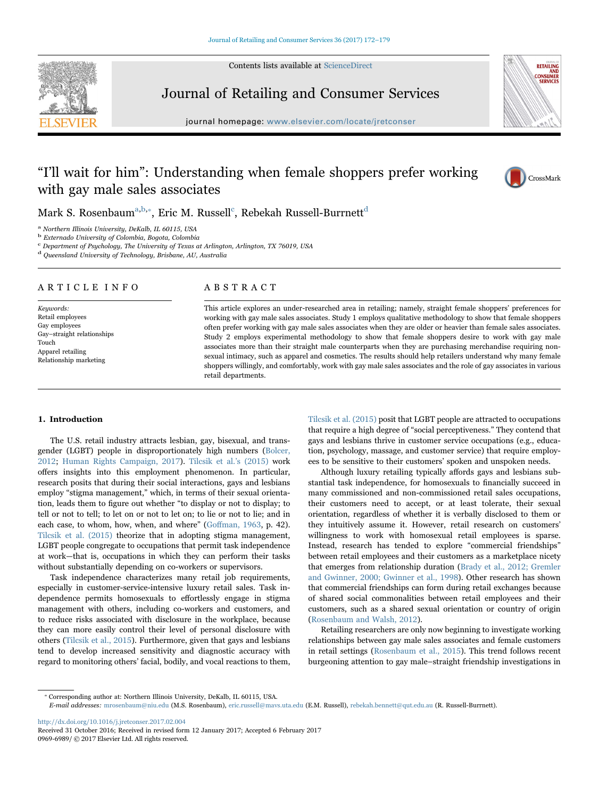Contents lists available at [ScienceDirect](http://www.sciencedirect.com/science/journal/09696989)



Journal of Retailing and Consumer Services

journal homepage: [www.elsevier.com/locate/jretconser](http://www.elsevier.com/locate/jretconser)



# "I'll wait for him": Understanding when female shoppers prefer working with gay male sales associates



Mark S. Rosenbaum $^{\mathrm{a,b,*}},$  $^{\mathrm{a,b,*}},$  $^{\mathrm{a,b,*}},$  Eric M. Russell $^{\mathrm{c}}$ [, Rebekah Russell-Burrnett](#page-0-3) $^{\mathrm{d}}$  $^{\mathrm{d}}$  $^{\mathrm{d}}$ 

<span id="page-0-0"></span> $^{\rm a}$  Northern Illinois University, DeKalb, IL 60115, USA $^{\rm b}$  Externado University of Colombia, Bogota, Colombia

<span id="page-0-1"></span>

<span id="page-0-3"></span> $\rm ^c$  Department of Psychology, The University of Texas at Arlington, Arlington, TX 76019, USA

<span id="page-0-4"></span><sup>d</sup> Queensland University of Technology, Brisbane, AU, Australia

# ARTICLE INFO

Keywords: Retail employees Gay employees Gay–straight relationships Touch Apparel retailing Relationship marketing

# ABSTRACT

This article explores an under-researched area in retailing; namely, straight female shoppers' preferences for working with gay male sales associates. Study 1 employs qualitative methodology to show that female shoppers often prefer working with gay male sales associates when they are older or heavier than female sales associates. Study 2 employs experimental methodology to show that female shoppers desire to work with gay male associates more than their straight male counterparts when they are purchasing merchandise requiring nonsexual intimacy, such as apparel and cosmetics. The results should help retailers understand why many female shoppers willingly, and comfortably, work with gay male sales associates and the role of gay associates in various retail departments.

#### 1. Introduction

The U.S. retail industry attracts lesbian, gay, bisexual, and transgender (LGBT) people in disproportionately high numbers ([Bolcer,](#page-7-0) [2012;](#page-7-0) [Human Rights Campaign, 2017](#page-7-1)). [Tilcsik et al.](#page-7-2)'s (2015) work offers insights into this employment phenomenon. In particular, research posits that during their social interactions, gays and lesbians employ "stigma management," which, in terms of their sexual orientation, leads them to figure out whether "to display or not to display; to tell or not to tell; to let on or not to let on; to lie or not to lie; and in each case, to whom, how, when, and where" (Goff[man, 1963,](#page-7-3) p. 42). [Tilcsik et al. \(2015\)](#page-7-2) theorize that in adopting stigma management, LGBT people congregate to occupations that permit task independence at work—that is, occupations in which they can perform their tasks without substantially depending on co-workers or supervisors.

Task independence characterizes many retail job requirements, especially in customer-service-intensive luxury retail sales. Task independence permits homosexuals to effortlessly engage in stigma management with others, including co-workers and customers, and to reduce risks associated with disclosure in the workplace, because they can more easily control their level of personal disclosure with others [\(Tilcsik et al., 2015\)](#page-7-2). Furthermore, given that gays and lesbians tend to develop increased sensitivity and diagnostic accuracy with regard to monitoring others' facial, bodily, and vocal reactions to them,

[Tilcsik et al. \(2015\)](#page-7-2) posit that LGBT people are attracted to occupations that require a high degree of "social perceptiveness." They contend that gays and lesbians thrive in customer service occupations (e.g., education, psychology, massage, and customer service) that require employees to be sensitive to their customers' spoken and unspoken needs.

Although luxury retailing typically affords gays and lesbians substantial task independence, for homosexuals to financially succeed in many commissioned and non-commissioned retail sales occupations, their customers need to accept, or at least tolerate, their sexual orientation, regardless of whether it is verbally disclosed to them or they intuitively assume it. However, retail research on customers' willingness to work with homosexual retail employees is sparse. Instead, research has tended to explore "commercial friendships" between retail employees and their customers as a marketplace nicety that emerges from relationship duration ([Brady et al., 2012; Gremler](#page-7-4) [and Gwinner, 2000; Gwinner et al., 1998\)](#page-7-4). Other research has shown that commercial friendships can form during retail exchanges because of shared social commonalities between retail employees and their customers, such as a shared sexual orientation or country of origin ([Rosenbaum and Walsh, 2012](#page-7-5)).

Retailing researchers are only now beginning to investigate working relationships between gay male sales associates and female customers in retail settings ([Rosenbaum et al., 2015](#page-7-6)). This trend follows recent burgeoning attention to gay male–straight friendship investigations in

<span id="page-0-2"></span>⁎ Corresponding author at: Northern Illinois University, DeKalb, IL 60115, USA.

<http://dx.doi.org/10.1016/j.jretconser.2017.02.004>

E-mail addresses: mrosenbaum@niu.edu (M.S. Rosenbaum), eric.russell@mavs.uta.edu (E.M. Russell), rebekah.bennett@qut.edu.au (R. Russell-Burrnett).

Received 31 October 2016; Received in revised form 12 January 2017; Accepted 6 February 2017 0969-6989/ © 2017 Elsevier Ltd. All rights reserved.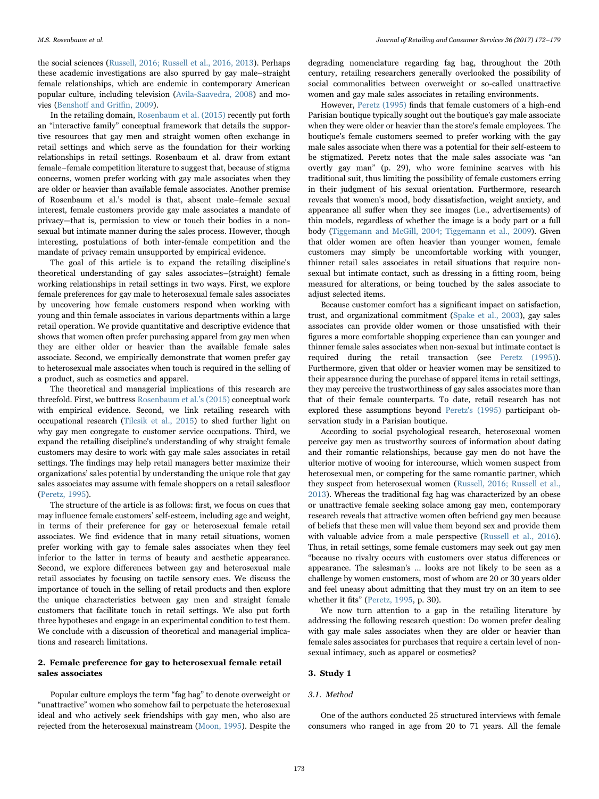the social sciences [\(Russell, 2016; Russell et al., 2016, 2013](#page-7-7)). Perhaps these academic investigations are also spurred by gay male–straight female relationships, which are endemic in contemporary American popular culture, including television [\(Avila-Saavedra, 2008\)](#page-7-8) and movies (Benshoff [and Gri](#page-7-9)ffin, 2009).

In the retailing domain, [Rosenbaum et al. \(2015\)](#page-7-6) recently put forth an "interactive family" conceptual framework that details the supportive resources that gay men and straight women often exchange in retail settings and which serve as the foundation for their working relationships in retail settings. Rosenbaum et al. draw from extant female–female competition literature to suggest that, because of stigma concerns, women prefer working with gay male associates when they are older or heavier than available female associates. Another premise of Rosenbaum et al.'s model is that, absent male–female sexual interest, female customers provide gay male associates a mandate of privacy—that is, permission to view or touch their bodies in a nonsexual but intimate manner during the sales process. However, though interesting, postulations of both inter-female competition and the mandate of privacy remain unsupported by empirical evidence.

The goal of this article is to expand the retailing discipline's theoretical understanding of gay sales associates–(straight) female working relationships in retail settings in two ways. First, we explore female preferences for gay male to heterosexual female sales associates by uncovering how female customers respond when working with young and thin female associates in various departments within a large retail operation. We provide quantitative and descriptive evidence that shows that women often prefer purchasing apparel from gay men when they are either older or heavier than the available female sales associate. Second, we empirically demonstrate that women prefer gay to heterosexual male associates when touch is required in the selling of a product, such as cosmetics and apparel.

The theoretical and managerial implications of this research are threefold. First, we buttress [Rosenbaum et al.](#page-7-6)'s (2015) conceptual work with empirical evidence. Second, we link retailing research with occupational research [\(Tilcsik et al., 2015](#page-7-2)) to shed further light on why gay men congregate to customer service occupations. Third, we expand the retailing discipline's understanding of why straight female customers may desire to work with gay male sales associates in retail settings. The findings may help retail managers better maximize their organizations' sales potential by understanding the unique role that gay sales associates may assume with female shoppers on a retail salesfloor ([Peretz, 1995](#page-7-10)).

The structure of the article is as follows: first, we focus on cues that may influence female customers' self-esteem, including age and weight, in terms of their preference for gay or heterosexual female retail associates. We find evidence that in many retail situations, women prefer working with gay to female sales associates when they feel inferior to the latter in terms of beauty and aesthetic appearance. Second, we explore differences between gay and heterosexual male retail associates by focusing on tactile sensory cues. We discuss the importance of touch in the selling of retail products and then explore the unique characteristics between gay men and straight female customers that facilitate touch in retail settings. We also put forth three hypotheses and engage in an experimental condition to test them. We conclude with a discussion of theoretical and managerial implications and research limitations.

# 2. Female preference for gay to heterosexual female retail sales associates

Popular culture employs the term "fag hag" to denote overweight or "unattractive" women who somehow fail to perpetuate the heterosexual ideal and who actively seek friendships with gay men, who also are rejected from the heterosexual mainstream [\(Moon, 1995](#page-7-11)). Despite the

degrading nomenclature regarding fag hag, throughout the 20th century, retailing researchers generally overlooked the possibility of social commonalities between overweight or so-called unattractive women and gay male sales associates in retailing environments.

However, [Peretz \(1995\)](#page-7-10) finds that female customers of a high-end Parisian boutique typically sought out the boutique's gay male associate when they were older or heavier than the store's female employees. The boutique's female customers seemed to prefer working with the gay male sales associate when there was a potential for their self-esteem to be stigmatized. Peretz notes that the male sales associate was "an overtly gay man" (p. 29), who wore feminine scarves with his traditional suit, thus limiting the possibility of female customers erring in their judgment of his sexual orientation. Furthermore, research reveals that women's mood, body dissatisfaction, weight anxiety, and appearance all suffer when they see images (i.e., advertisements) of thin models, regardless of whether the image is a body part or a full body [\(Tiggemann and McGill, 2004; Tiggemann et al., 2009](#page-7-12)). Given that older women are often heavier than younger women, female customers may simply be uncomfortable working with younger, thinner retail sales associates in retail situations that require nonsexual but intimate contact, such as dressing in a fitting room, being measured for alterations, or being touched by the sales associate to adjust selected items.

Because customer comfort has a significant impact on satisfaction, trust, and organizational commitment ([Spake et al., 2003\)](#page-7-13), gay sales associates can provide older women or those unsatisfied with their figures a more comfortable shopping experience than can younger and thinner female sales associates when non-sexual but intimate contact is required during the retail transaction (see [Peretz \(1995\)\)](#page-7-10). Furthermore, given that older or heavier women may be sensitized to their appearance during the purchase of apparel items in retail settings, they may perceive the trustworthiness of gay sales associates more than that of their female counterparts. To date, retail research has not explored these assumptions beyond [Peretz's \(1995\)](#page-7-10) participant observation study in a Parisian boutique.

According to social psychological research, heterosexual women perceive gay men as trustworthy sources of information about dating and their romantic relationships, because gay men do not have the ulterior motive of wooing for intercourse, which women suspect from heterosexual men, or competing for the same romantic partner, which they suspect from heterosexual women [\(Russell, 2016; Russell et al.,](#page-7-7) [2013\)](#page-7-7). Whereas the traditional fag hag was characterized by an obese or unattractive female seeking solace among gay men, contemporary research reveals that attractive women often befriend gay men because of beliefs that these men will value them beyond sex and provide them with valuable advice from a male perspective ([Russell et al., 2016\)](#page-7-14). Thus, in retail settings, some female customers may seek out gay men "because no rivalry occurs with customers over status differences or appearance. The salesman's … looks are not likely to be seen as a challenge by women customers, most of whom are 20 or 30 years older and feel uneasy about admitting that they must try on an item to see whether it fits" ([Peretz, 1995,](#page-7-10) p. 30).

We now turn attention to a gap in the retailing literature by addressing the following research question: Do women prefer dealing with gay male sales associates when they are older or heavier than female sales associates for purchases that require a certain level of nonsexual intimacy, such as apparel or cosmetics?

# 3. Study 1

#### 3.1. Method

One of the authors conducted 25 structured interviews with female consumers who ranged in age from 20 to 71 years. All the female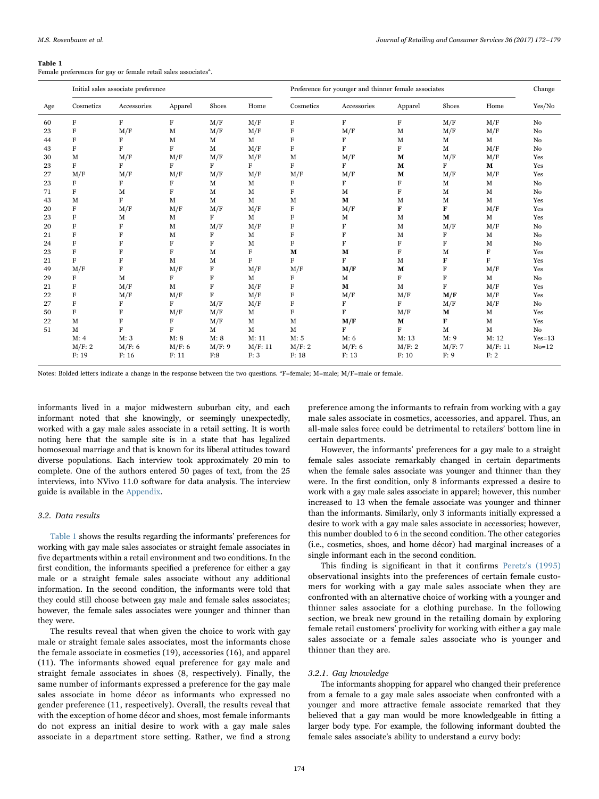#### <span id="page-2-0"></span>Table 1

Female preferences for gay or female retail sales associates<sup>a</sup>.

|     |           | Initial sales associate preference |         |         |         | Preference for younger and thinner female associates |             |             |             |             | Change         |
|-----|-----------|------------------------------------|---------|---------|---------|------------------------------------------------------|-------------|-------------|-------------|-------------|----------------|
| Age | Cosmetics | Accessories                        | Apparel | Shoes   | Home    | Cosmetics                                            | Accessories | Apparel     | Shoes       | Home        | Yes/No         |
| 60  | F         | $\rm F$                            | F       | M/F     | M/F     | $\mathbf F$                                          | F           | F           | M/F         | M/F         | No             |
| 23  | F         | M/F                                | M       | M/F     | M/F     | F                                                    | M/F         | M           | M/F         | M/F         | No             |
| 44  | F         | F                                  | M       | M       | M       | $\rm F$                                              | F           | M           | М           | M           | No             |
| 43  | $\rm F$   | F                                  | $\rm F$ | M       | M/F     | $\mathbf{F}$                                         | F           | F           | M           | M/F         | No             |
| 30  | M         | M/F                                | M/F     | M/F     | M/F     | M                                                    | M/F         | M           | M/F         | M/F         | Yes            |
| 23  | F         | F                                  | F       | F       | F       | $\rm F$                                              | F           | M           | F           | M           | Yes            |
| 27  | M/F       | M/F                                | M/F     | M/F     | M/F     | M/F                                                  | M/F         | M           | M/F         | M/F         | Yes            |
| 23  | F         | F                                  | F       | M       | M       | F                                                    | F           | F           | M           | M           | No             |
| 71  | F         | М                                  | F       | M       | M       | F                                                    | М           | F           | M           | M           | N <sub>0</sub> |
| 43  | M         | F                                  | M       | M       | M       | M                                                    | M           | M           | М           | $\mathbf M$ | Yes            |
| 20  | $\rm F$   | M/F                                | M/F     | M/F     | M/F     | $\rm F$                                              | M/F         | F           | F           | M/F         | Yes            |
| 23  | $\rm F$   | M                                  | M       | F       | M       | F                                                    | М           | M           | M           | M           | Yes            |
| 20  | F         | F                                  | M       | M/F     | M/F     | F                                                    | $\rm F$     | M           | M/F         | M/F         | N <sub>0</sub> |
| 21  | F         | F                                  | M       | F       | M       | F                                                    | F           | $\mathbf M$ | F           | $\mathbf M$ | No             |
| 24  | F         | F                                  | F       | F       | M       | F                                                    | $\rm F$     | F           | F           | M           | No             |
| 23  | F         | F                                  | F       | M       | F       | М                                                    | M           | F           | M           | F           | Yes            |
| 21  | F         | F                                  | M       | M       | F       | F                                                    | F           | M           | F           | F           | Yes            |
| 49  | M/F       | F                                  | M/F     | F       | M/F     | M/F                                                  | M/F         | M           | $\mathbf F$ | M/F         | Yes            |
| 29  | F         | М                                  | F       | $\rm F$ | M       | F                                                    | М           | F           | F           | M           | No             |
| 21  | F         | M/F                                | M       | F       | M/F     | F                                                    | M           | M           | F           | M/F         | Yes            |
| 22  | F         | M/F                                | M/F     | F       | M/F     | $\rm F$                                              | M/F         | M/F         | M/F         | M/F         | Yes            |
| 27  | $\rm F$   | F                                  | F       | M/F     | M/F     | $\rm F$                                              | F           | F           | M/F         | M/F         | No             |
| 50  | F         | F                                  | M/F     | M/F     | M       | F                                                    | F           | M/F         | М           | M           | Yes            |
| 22  | M         | F                                  | F       | M/F     | M       | $\mathbf M$                                          | M/F         | $\mathbf M$ | F           | M           | Yes            |
| 51  | M         | F                                  | F       | M       | M       | M                                                    | F           | F           | M           | M           | No             |
|     | M: 4      | M: 3                               | M: 8    | M: 8    | M: 11   | M: 5                                                 | M: 6        | M: 13       | M: 9        | M: 12       | $Yes=13$       |
|     | M/F: 2    | M/F: 6                             | M/F: 6  | M/F: 9  | M/F: 11 | M/F: 2                                               | M/F: 6      | M/F: 2      | M/F: 7      | M/F: 11     | $No=12$        |
|     | F: 19     | F: 16                              | F: 11   | F:8     | F: 3    | F: 18                                                | F: 13       | F: 10       | F: 9        | F: 2        |                |

Notes: Bolded letters indicate a change in the response between the two questions. <sup>a</sup>F=female; M=male; M/F=male or female.

informants lived in a major midwestern suburban city, and each informant noted that she knowingly, or seemingly unexpectedly, worked with a gay male sales associate in a retail setting. It is worth noting here that the sample site is in a state that has legalized homosexual marriage and that is known for its liberal attitudes toward diverse populations. Each interview took approximately 20 min to complete. One of the authors entered 50 pages of text, from the 25 interviews, into NVivo 11.0 software for data analysis. The interview guide is available in the [Appendix.](#page-7-15)

# 3.2. Data results

[Table 1](#page-2-0) shows the results regarding the informants' preferences for working with gay male sales associates or straight female associates in five departments within a retail environment and two conditions. In the first condition, the informants specified a preference for either a gay male or a straight female sales associate without any additional information. In the second condition, the informants were told that they could still choose between gay male and female sales associates; however, the female sales associates were younger and thinner than they were.

The results reveal that when given the choice to work with gay male or straight female sales associates, most the informants chose the female associate in cosmetics (19), accessories (16), and apparel (11). The informants showed equal preference for gay male and straight female associates in shoes (8, respectively). Finally, the same number of informants expressed a preference for the gay male sales associate in home décor as informants who expressed no gender preference (11, respectively). Overall, the results reveal that with the exception of home décor and shoes, most female informants do not express an initial desire to work with a gay male sales associate in a department store setting. Rather, we find a strong

preference among the informants to refrain from working with a gay male sales associate in cosmetics, accessories, and apparel. Thus, an all-male sales force could be detrimental to retailers' bottom line in certain departments.

However, the informants' preferences for a gay male to a straight female sales associate remarkably changed in certain departments when the female sales associate was younger and thinner than they were. In the first condition, only 8 informants expressed a desire to work with a gay male sales associate in apparel; however, this number increased to 13 when the female associate was younger and thinner than the informants. Similarly, only 3 informants initially expressed a desire to work with a gay male sales associate in accessories; however, this number doubled to 6 in the second condition. The other categories (i.e., cosmetics, shoes, and home décor) had marginal increases of a single informant each in the second condition.

This finding is significant in that it confirms [Peretz's \(1995\)](#page-7-10) observational insights into the preferences of certain female customers for working with a gay male sales associate when they are confronted with an alternative choice of working with a younger and thinner sales associate for a clothing purchase. In the following section, we break new ground in the retailing domain by exploring female retail customers' proclivity for working with either a gay male sales associate or a female sales associate who is younger and thinner than they are.

# 3.2.1. Gay knowledge

The informants shopping for apparel who changed their preference from a female to a gay male sales associate when confronted with a younger and more attractive female associate remarked that they believed that a gay man would be more knowledgeable in fitting a larger body type. For example, the following informant doubted the female sales associate's ability to understand a curvy body: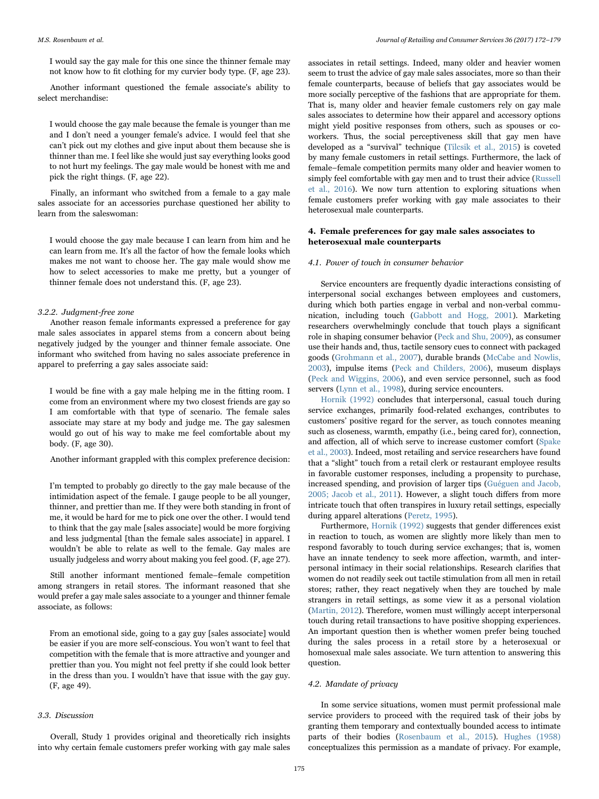I would say the gay male for this one since the thinner female may not know how to fit clothing for my curvier body type. (F, age 23).

Another informant questioned the female associate's ability to select merchandise:

I would choose the gay male because the female is younger than me and I don't need a younger female's advice. I would feel that she can't pick out my clothes and give input about them because she is thinner than me. I feel like she would just say everything looks good to not hurt my feelings. The gay male would be honest with me and pick the right things. (F, age 22).

Finally, an informant who switched from a female to a gay male sales associate for an accessories purchase questioned her ability to learn from the saleswoman:

I would choose the gay male because I can learn from him and he can learn from me. It's all the factor of how the female looks which makes me not want to choose her. The gay male would show me how to select accessories to make me pretty, but a younger of thinner female does not understand this. (F, age 23).

# 3.2.2. Judgment-free zone

Another reason female informants expressed a preference for gay male sales associates in apparel stems from a concern about being negatively judged by the younger and thinner female associate. One informant who switched from having no sales associate preference in apparel to preferring a gay sales associate said:

I would be fine with a gay male helping me in the fitting room. I come from an environment where my two closest friends are gay so I am comfortable with that type of scenario. The female sales associate may stare at my body and judge me. The gay salesmen would go out of his way to make me feel comfortable about my body. (F, age 30).

Another informant grappled with this complex preference decision:

I'm tempted to probably go directly to the gay male because of the intimidation aspect of the female. I gauge people to be all younger, thinner, and prettier than me. If they were both standing in front of me, it would be hard for me to pick one over the other. I would tend to think that the gay male [sales associate] would be more forgiving and less judgmental [than the female sales associate] in apparel. I wouldn't be able to relate as well to the female. Gay males are usually judgeless and worry about making you feel good. (F, age 27).

Still another informant mentioned female–female competition among strangers in retail stores. The informant reasoned that she would prefer a gay male sales associate to a younger and thinner female associate, as follows:

From an emotional side, going to a gay guy [sales associate] would be easier if you are more self-conscious. You won't want to feel that competition with the female that is more attractive and younger and prettier than you. You might not feel pretty if she could look better in the dress than you. I wouldn't have that issue with the gay guy. (F, age 49).

# 3.3. Discussion

Overall, Study 1 provides original and theoretically rich insights into why certain female customers prefer working with gay male sales

associates in retail settings. Indeed, many older and heavier women seem to trust the advice of gay male sales associates, more so than their female counterparts, because of beliefs that gay associates would be more socially perceptive of the fashions that are appropriate for them. That is, many older and heavier female customers rely on gay male sales associates to determine how their apparel and accessory options might yield positive responses from others, such as spouses or coworkers. Thus, the social perceptiveness skill that gay men have developed as a "survival" technique ([Tilcsik et al., 2015](#page-7-2)) is coveted by many female customers in retail settings. Furthermore, the lack of female–female competition permits many older and heavier women to simply feel comfortable with gay men and to trust their advice [\(Russell](#page-7-14) [et al., 2016](#page-7-14)). We now turn attention to exploring situations when female customers prefer working with gay male associates to their heterosexual male counterparts.

# 4. Female preferences for gay male sales associates to heterosexual male counterparts

#### 4.1. Power of touch in consumer behavior

Service encounters are frequently dyadic interactions consisting of interpersonal social exchanges between employees and customers, during which both parties engage in verbal and non-verbal communication, including touch [\(Gabbott and Hogg, 2001\)](#page-7-16). Marketing researchers overwhelmingly conclude that touch plays a significant role in shaping consumer behavior [\(Peck and Shu, 2009\)](#page-7-17), as consumer use their hands and, thus, tactile sensory cues to connect with packaged goods [\(Grohmann et al., 2007](#page-7-18)), durable brands ([McCabe and Nowlis,](#page-7-19) [2003\)](#page-7-19), impulse items ([Peck and Childers, 2006](#page-7-20)), museum displays ([Peck and Wiggins, 2006](#page-7-21)), and even service personnel, such as food servers [\(Lynn et al., 1998\)](#page-7-22), during service encounters.

[Hornik \(1992\)](#page-7-23) concludes that interpersonal, casual touch during service exchanges, primarily food-related exchanges, contributes to customers' positive regard for the server, as touch connotes meaning such as closeness, warmth, empathy (i.e., being cared for), connection, and affection, all of which serve to increase customer comfort [\(Spake](#page-7-13) [et al., 2003](#page-7-13)). Indeed, most retailing and service researchers have found that a "slight" touch from a retail clerk or restaurant employee results in favorable customer responses, including a propensity to purchase, increased spending, and provision of larger tips ([Guéguen and Jacob,](#page-7-24) [2005; Jacob et al., 2011](#page-7-24)). However, a slight touch differs from more intricate touch that often transpires in luxury retail settings, especially during apparel alterations [\(Peretz, 1995](#page-7-10)).

Furthermore, [Hornik \(1992\)](#page-7-23) suggests that gender differences exist in reaction to touch, as women are slightly more likely than men to respond favorably to touch during service exchanges; that is, women have an innate tendency to seek more affection, warmth, and interpersonal intimacy in their social relationships. Research clarifies that women do not readily seek out tactile stimulation from all men in retail stores; rather, they react negatively when they are touched by male strangers in retail settings, as some view it as a personal violation ([Martin, 2012\)](#page-7-25). Therefore, women must willingly accept interpersonal touch during retail transactions to have positive shopping experiences. An important question then is whether women prefer being touched during the sales process in a retail store by a heterosexual or homosexual male sales associate. We turn attention to answering this question.

# 4.2. Mandate of privacy

In some service situations, women must permit professional male service providers to proceed with the required task of their jobs by granting them temporary and contextually bounded access to intimate parts of their bodies ([Rosenbaum et al., 2015](#page-7-6)). [Hughes \(1958\)](#page-7-26) conceptualizes this permission as a mandate of privacy. For example,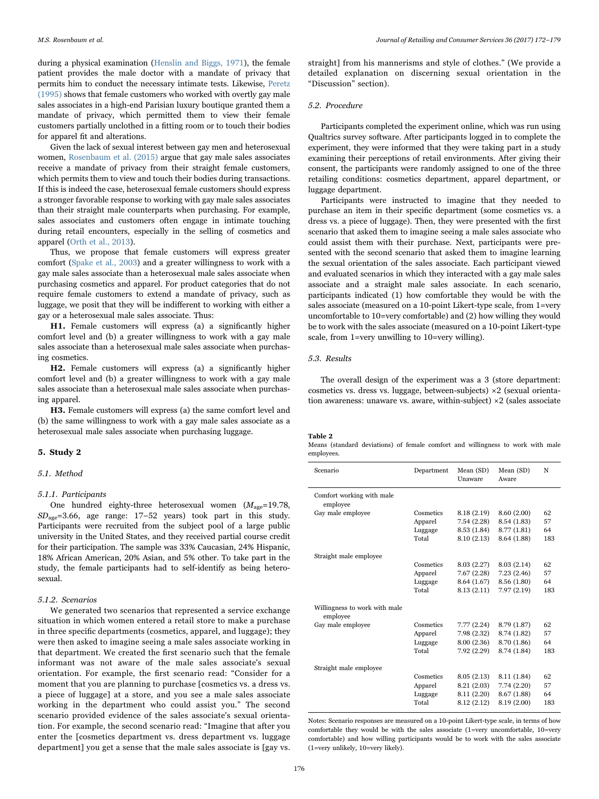during a physical examination [\(Henslin and Biggs, 1971\)](#page-7-27), the female patient provides the male doctor with a mandate of privacy that permits him to conduct the necessary intimate tests. Likewise, [Peretz](#page-7-10) [\(1995\)](#page-7-10) shows that female customers who worked with overtly gay male sales associates in a high-end Parisian luxury boutique granted them a mandate of privacy, which permitted them to view their female customers partially unclothed in a fitting room or to touch their bodies for apparel fit and alterations.

Given the lack of sexual interest between gay men and heterosexual women, [Rosenbaum et al. \(2015\)](#page-7-6) argue that gay male sales associates receive a mandate of privacy from their straight female customers, which permits them to view and touch their bodies during transactions. If this is indeed the case, heterosexual female customers should express a stronger favorable response to working with gay male sales associates than their straight male counterparts when purchasing. For example, sales associates and customers often engage in intimate touching during retail encounters, especially in the selling of cosmetics and apparel ([Orth et al., 2013](#page-7-28)).

Thus, we propose that female customers will express greater comfort [\(Spake et al., 2003](#page-7-13)) and a greater willingness to work with a gay male sales associate than a heterosexual male sales associate when purchasing cosmetics and apparel. For product categories that do not require female customers to extend a mandate of privacy, such as luggage, we posit that they will be indifferent to working with either a gay or a heterosexual male sales associate. Thus:

H1. Female customers will express (a) a significantly higher comfort level and (b) a greater willingness to work with a gay male sales associate than a heterosexual male sales associate when purchasing cosmetics.

H2. Female customers will express (a) a significantly higher comfort level and (b) a greater willingness to work with a gay male sales associate than a heterosexual male sales associate when purchasing apparel.

H3. Female customers will express (a) the same comfort level and (b) the same willingness to work with a gay male sales associate as a heterosexual male sales associate when purchasing luggage.

# 5. Study 2

# 5.1. Method

#### 5.1.1. Participants

One hundred eighty-three heterosexual women  $(M_{\text{age}}=19.78,$  $SD<sub>ace</sub>=3.66$ , age range: 17-52 years) took part in this study. Participants were recruited from the subject pool of a large public university in the United States, and they received partial course credit for their participation. The sample was 33% Caucasian, 24% Hispanic, 18% African American, 20% Asian, and 5% other. To take part in the study, the female participants had to self-identify as being heterosexual.

# 5.1.2. Scenarios

We generated two scenarios that represented a service exchange situation in which women entered a retail store to make a purchase in three specific departments (cosmetics, apparel, and luggage); they were then asked to imagine seeing a male sales associate working in that department. We created the first scenario such that the female informant was not aware of the male sales associate's sexual orientation. For example, the first scenario read: "Consider for a moment that you are planning to purchase [cosmetics vs. a dress vs. a piece of luggage] at a store, and you see a male sales associate working in the department who could assist you." The second scenario provided evidence of the sales associate's sexual orientation. For example, the second scenario read: "Imagine that after you enter the [cosmetics department vs. dress department vs. luggage department] you get a sense that the male sales associate is [gay vs.

straight] from his mannerisms and style of clothes." (We provide a detailed explanation on discerning sexual orientation in the "Discussion" section).

### 5.2. Procedure

Participants completed the experiment online, which was run using Qualtrics survey software. After participants logged in to complete the experiment, they were informed that they were taking part in a study examining their perceptions of retail environments. After giving their consent, the participants were randomly assigned to one of the three retailing conditions: cosmetics department, apparel department, or luggage department.

Participants were instructed to imagine that they needed to purchase an item in their specific department (some cosmetics vs. a dress vs. a piece of luggage). Then, they were presented with the first scenario that asked them to imagine seeing a male sales associate who could assist them with their purchase. Next, participants were presented with the second scenario that asked them to imagine learning the sexual orientation of the sales associate. Each participant viewed and evaluated scenarios in which they interacted with a gay male sales associate and a straight male sales associate. In each scenario, participants indicated (1) how comfortable they would be with the sales associate (measured on a 10-point Likert-type scale, from 1=very uncomfortable to 10=very comfortable) and (2) how willing they would be to work with the sales associate (measured on a 10-point Likert-type scale, from 1=very unwilling to 10=very willing).

# 5.3. Results

The overall design of the experiment was a 3 (store department: cosmetics vs. dress vs. luggage, between-subjects) ×2 (sexual orientation awareness: unaware vs. aware, within-subject) ×2 (sales associate

# <span id="page-4-0"></span>Table 2

Means (standard deviations) of female comfort and willingness to work with male employees.

| Scenario                                  | Department | Mean (SD)<br>Unaware | Mean (SD)<br>Aware | N   |
|-------------------------------------------|------------|----------------------|--------------------|-----|
| Comfort working with male<br>employee     |            |                      |                    |     |
| Gay male employee                         | Cosmetics  | 8.18 (2.19)          | 8.60 (2.00)        | 62  |
|                                           | Apparel    | 7.54 (2.28)          | 8.54 (1.83)        | 57  |
|                                           | Luggage    | 8.53 (1.84)          | 8.77 (1.81)        | 64  |
|                                           | Total      | 8.10 (2.13)          | 8.64 (1.88)        | 183 |
| Straight male employee                    |            |                      |                    |     |
|                                           | Cosmetics  | 8.03 (2.27)          | 8.03 (2.14)        | 62  |
|                                           | Apparel    | 7.67(2.28)           | 7.23(2.46)         | 57  |
|                                           | Luggage    | 8.64 (1.67)          | 8.56 (1.80)        | 64  |
|                                           | Total      | 8.13 (2.11)          | 7.97(2.19)         | 183 |
| Willingness to work with male<br>employee |            |                      |                    |     |
| Gay male employee                         | Cosmetics  | 7.77(2.24)           | 8.79 (1.87)        | 62  |
|                                           | Apparel    | 7.98 (2.32)          | 8.74 (1.82)        | 57  |
|                                           | Luggage    | 8.00 (2.36)          | 8.70 (1.86)        | 64  |
|                                           | Total      | 7.92 (2.29)          | 8.74 (1.84)        | 183 |
| Straight male employee                    |            |                      |                    |     |
|                                           | Cosmetics  | 8.05(2.13)           | 8.11 (1.84)        | 62  |
|                                           | Apparel    | 8.21 (2.03)          | 7.74 (2.20)        | 57  |
|                                           | Luggage    | 8.11 (2.20)          | 8.67 (1.88)        | 64  |
|                                           | Total      | 8.12 (2.12)          | 8.19 (2.00)        | 183 |
|                                           |            |                      |                    |     |

Notes: Scenario responses are measured on a 10-point Likert-type scale, in terms of how comfortable they would be with the sales associate (1=very uncomfortable, 10=very comfortable) and how willing participants would be to work with the sales associate (1=very unlikely, 10=very likely).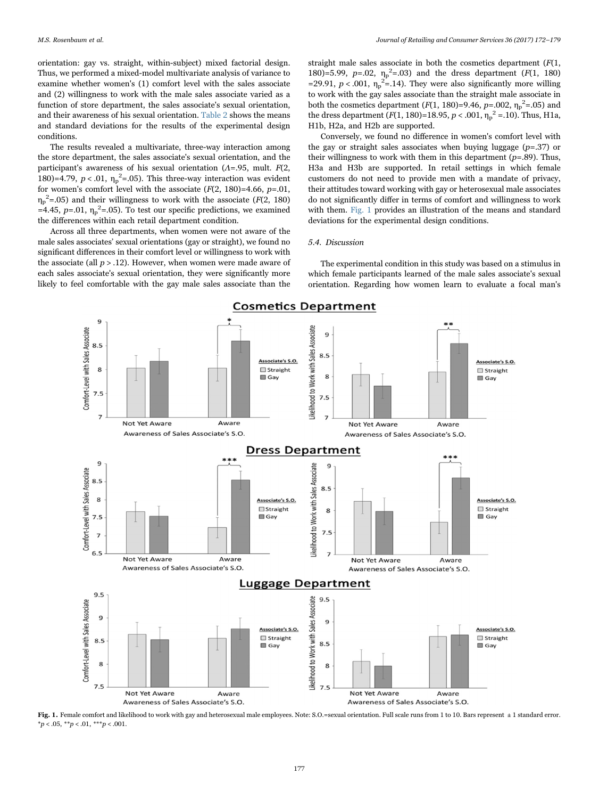orientation: gay vs. straight, within-subject) mixed factorial design. Thus, we performed a mixed-model multivariate analysis of variance to examine whether women's (1) comfort level with the sales associate and (2) willingness to work with the male sales associate varied as a function of store department, the sales associate's sexual orientation, and their awareness of his sexual orientation. [Table 2](#page-4-0) shows the means and standard deviations for the results of the experimental design conditions.

The results revealed a multivariate, three-way interaction among the store department, the sales associate's sexual orientation, and the participant's awareness of his sexual orientation ( $\Lambda$ =.95, mult.  $F(2, 1)$ 180)=4.79,  $p < .01$ ,  $\eta_p^2 = .05$ ). This three-way interaction was evident for women's comfort level with the associate  $(F(2, 180)=4.66, p=.01$ ,  $\eta_p^2$ =.05) and their willingness to work with the associate (F(2, 180) =4.45,  $p=0.01$ ,  $\eta_p^2$ =.05). To test our specific predictions, we examined the differences within each retail department condition.

Across all three departments, when women were not aware of the male sales associates' sexual orientations (gay or straight), we found no significant differences in their comfort level or willingness to work with the associate (all  $p > .12$ ). However, when women were made aware of each sales associate's sexual orientation, they were significantly more likely to feel comfortable with the gay male sales associate than the

straight male sales associate in both the cosmetics department  $(F(1,$ 180)=5.99,  $p=.02$ ,  $\eta_p^2=.03$ ) and the dress department ( $F(1, 180)$ =29.91,  $p < .001$ ,  $\eta_p^2 = .14$ ). They were also significantly more willing to work with the gay sales associate than the straight male associate in both the cosmetics department  $(F(1, 180)=9.46, p=.002, \eta_p^2=.05)$  and the dress department  $(F(1, 180)=18.95, p < .001, \eta_p^2 = .10)$ . Thus, H1a, H1b, H2a, and H2b are supported.

Conversely, we found no difference in women's comfort level with the gay or straight sales associates when buying luggage  $(p=.37)$  or their willingness to work with them in this department  $(p=.89)$ . Thus, H3a and H3b are supported. In retail settings in which female customers do not need to provide men with a mandate of privacy, their attitudes toward working with gay or heterosexual male associates do not significantly differ in terms of comfort and willingness to work with them. [Fig. 1](#page-5-0) provides an illustration of the means and standard deviations for the experimental design conditions.

# 5.4. Discussion

The experimental condition in this study was based on a stimulus in which female participants learned of the male sales associate's sexual orientation. Regarding how women learn to evaluate a focal man's

<span id="page-5-0"></span>

Fig. 1. Female comfort and likelihood to work with gay and heterosexual male employees. Note: S.O.=sexual orientation. Full scale runs from 1 to 10. Bars represent ± 1 standard error.  $*p < .05, **p < .01, **p < .001.$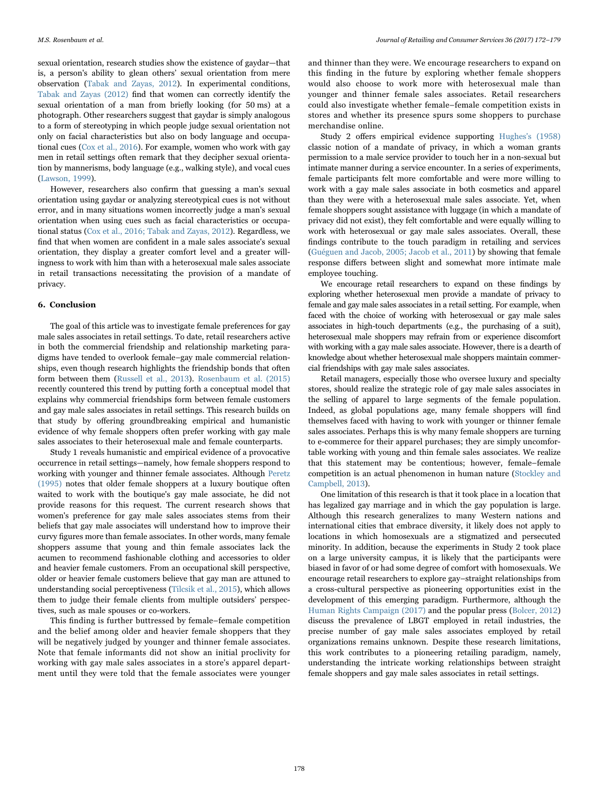sexual orientation, research studies show the existence of gaydar—that is, a person's ability to glean others' sexual orientation from mere observation ([Tabak and Zayas, 2012\)](#page-7-29). In experimental conditions, [Tabak and Zayas \(2012\)](#page-7-29) find that women can correctly identify the sexual orientation of a man from briefly looking (for 50 ms) at a photograph. Other researchers suggest that gaydar is simply analogous to a form of stereotyping in which people judge sexual orientation not only on facial characteristics but also on body language and occupational cues [\(Cox et al., 2016\)](#page-7-30). For example, women who work with gay men in retail settings often remark that they decipher sexual orientation by mannerisms, body language (e.g., walking style), and vocal cues ([Lawson, 1999](#page-7-31)).

However, researchers also confirm that guessing a man's sexual orientation using gaydar or analyzing stereotypical cues is not without error, and in many situations women incorrectly judge a man's sexual orientation when using cues such as facial characteristics or occupational status ([Cox et al., 2016; Tabak and Zayas, 2012\)](#page-7-30). Regardless, we find that when women are confident in a male sales associate's sexual orientation, they display a greater comfort level and a greater willingness to work with him than with a heterosexual male sales associate in retail transactions necessitating the provision of a mandate of privacy.

# 6. Conclusion

The goal of this article was to investigate female preferences for gay male sales associates in retail settings. To date, retail researchers active in both the commercial friendship and relationship marketing paradigms have tended to overlook female–gay male commercial relationships, even though research highlights the friendship bonds that often form between them [\(Russell et al., 2013\)](#page-7-32). [Rosenbaum et al. \(2015\)](#page-7-6) recently countered this trend by putting forth a conceptual model that explains why commercial friendships form between female customers and gay male sales associates in retail settings. This research builds on that study by offering groundbreaking empirical and humanistic evidence of why female shoppers often prefer working with gay male sales associates to their heterosexual male and female counterparts.

Study 1 reveals humanistic and empirical evidence of a provocative occurrence in retail settings—namely, how female shoppers respond to working with younger and thinner female associates. Although [Peretz](#page-7-10) [\(1995\)](#page-7-10) notes that older female shoppers at a luxury boutique often waited to work with the boutique's gay male associate, he did not provide reasons for this request. The current research shows that women's preference for gay male sales associates stems from their beliefs that gay male associates will understand how to improve their curvy figures more than female associates. In other words, many female shoppers assume that young and thin female associates lack the acumen to recommend fashionable clothing and accessories to older and heavier female customers. From an occupational skill perspective, older or heavier female customers believe that gay man are attuned to understanding social perceptiveness ([Tilcsik et al., 2015\)](#page-7-2), which allows them to judge their female clients from multiple outsiders' perspectives, such as male spouses or co-workers.

This finding is further buttressed by female–female competition and the belief among older and heavier female shoppers that they will be negatively judged by younger and thinner female associates. Note that female informants did not show an initial proclivity for working with gay male sales associates in a store's apparel department until they were told that the female associates were younger

and thinner than they were. We encourage researchers to expand on this finding in the future by exploring whether female shoppers would also choose to work more with heterosexual male than younger and thinner female sales associates. Retail researchers could also investigate whether female–female competition exists in stores and whether its presence spurs some shoppers to purchase merchandise online.

Study 2 offers empirical evidence supporting [Hughes's \(1958\)](#page-7-26) classic notion of a mandate of privacy, in which a woman grants permission to a male service provider to touch her in a non-sexual but intimate manner during a service encounter. In a series of experiments, female participants felt more comfortable and were more willing to work with a gay male sales associate in both cosmetics and apparel than they were with a heterosexual male sales associate. Yet, when female shoppers sought assistance with luggage (in which a mandate of privacy did not exist), they felt comfortable and were equally willing to work with heterosexual or gay male sales associates. Overall, these findings contribute to the touch paradigm in retailing and services ([Guéguen and Jacob, 2005; Jacob et al., 2011\)](#page-7-24) by showing that female response differs between slight and somewhat more intimate male employee touching.

We encourage retail researchers to expand on these findings by exploring whether heterosexual men provide a mandate of privacy to female and gay male sales associates in a retail setting. For example, when faced with the choice of working with heterosexual or gay male sales associates in high-touch departments (e.g., the purchasing of a suit), heterosexual male shoppers may refrain from or experience discomfort with working with a gay male sales associate. However, there is a dearth of knowledge about whether heterosexual male shoppers maintain commercial friendships with gay male sales associates.

Retail managers, especially those who oversee luxury and specialty stores, should realize the strategic role of gay male sales associates in the selling of apparel to large segments of the female population. Indeed, as global populations age, many female shoppers will find themselves faced with having to work with younger or thinner female sales associates. Perhaps this is why many female shoppers are turning to e-commerce for their apparel purchases; they are simply uncomfortable working with young and thin female sales associates. We realize that this statement may be contentious; however, female–female competition is an actual phenomenon in human nature [\(Stockley and](#page-7-33) [Campbell, 2013\)](#page-7-33).

One limitation of this research is that it took place in a location that has legalized gay marriage and in which the gay population is large. Although this research generalizes to many Western nations and international cities that embrace diversity, it likely does not apply to locations in which homosexuals are a stigmatized and persecuted minority. In addition, because the experiments in Study 2 took place on a large university campus, it is likely that the participants were biased in favor of or had some degree of comfort with homosexuals. We encourage retail researchers to explore gay–straight relationships from a cross-cultural perspective as pioneering opportunities exist in the development of this emerging paradigm. Furthermore, although the [Human Rights Campaign \(2017\)](#page-7-1) and the popular press ([Bolcer, 2012\)](#page-7-0) discuss the prevalence of LBGT employed in retail industries, the precise number of gay male sales associates employed by retail organizations remains unknown. Despite these research limitations, this work contributes to a pioneering retailing paradigm, namely, understanding the intricate working relationships between straight female shoppers and gay male sales associates in retail settings.